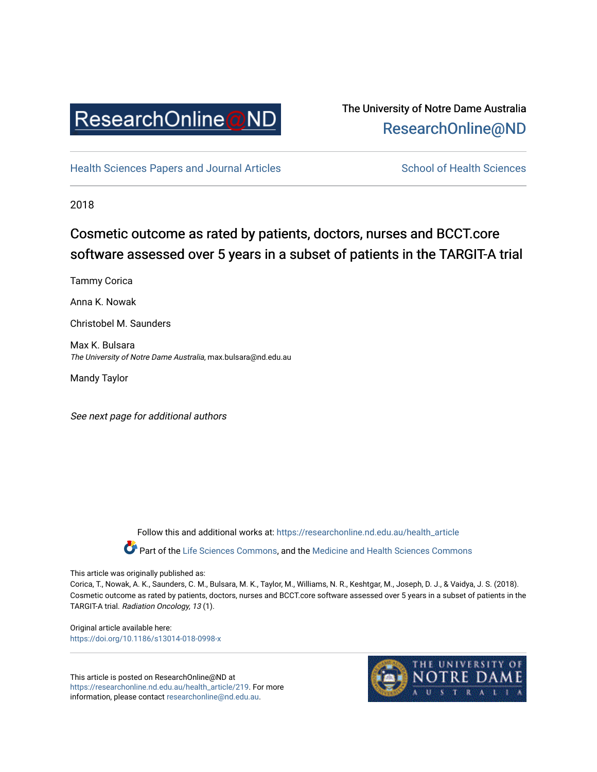

# The University of Notre Dame Australia [ResearchOnline@ND](https://researchonline.nd.edu.au/)

[Health Sciences Papers and Journal Articles](https://researchonline.nd.edu.au/health_article) School of Health Sciences

2018

# Cosmetic outcome as rated by patients, doctors, nurses and BCCT.core software assessed over 5 years in a subset of patients in the TARGIT-A trial

Tammy Corica

Anna K. Nowak

Christobel M. Saunders

Max K. Bulsara The University of Notre Dame Australia, max.bulsara@nd.edu.au

Mandy Taylor

See next page for additional authors

Follow this and additional works at: [https://researchonline.nd.edu.au/health\\_article](https://researchonline.nd.edu.au/health_article?utm_source=researchonline.nd.edu.au%2Fhealth_article%2F219&utm_medium=PDF&utm_campaign=PDFCoverPages)

Part of the [Life Sciences Commons](http://network.bepress.com/hgg/discipline/1016?utm_source=researchonline.nd.edu.au%2Fhealth_article%2F219&utm_medium=PDF&utm_campaign=PDFCoverPages), and the Medicine and Health Sciences Commons

This article was originally published as:

Corica, T., Nowak, A. K., Saunders, C. M., Bulsara, M. K., Taylor, M., Williams, N. R., Keshtgar, M., Joseph, D. J., & Vaidya, J. S. (2018). Cosmetic outcome as rated by patients, doctors, nurses and BCCT.core software assessed over 5 years in a subset of patients in the TARGIT-A trial. Radiation Oncology, 13 (1).

Original article available here: <https://doi.org/10.1186/s13014-018-0998-x>

This article is posted on ResearchOnline@ND at [https://researchonline.nd.edu.au/health\\_article/219](https://researchonline.nd.edu.au/health_article/219). For more information, please contact [researchonline@nd.edu.au.](mailto:researchonline@nd.edu.au)

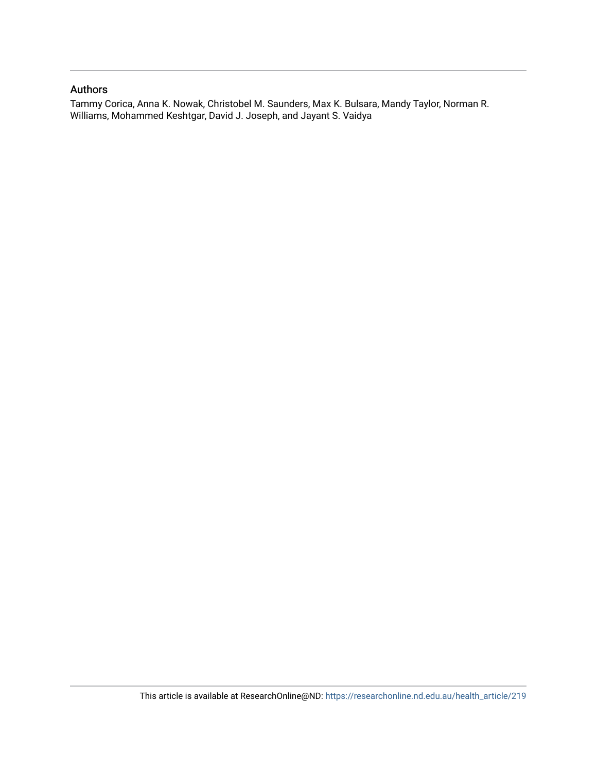# Authors

Tammy Corica, Anna K. Nowak, Christobel M. Saunders, Max K. Bulsara, Mandy Taylor, Norman R. Williams, Mohammed Keshtgar, David J. Joseph, and Jayant S. Vaidya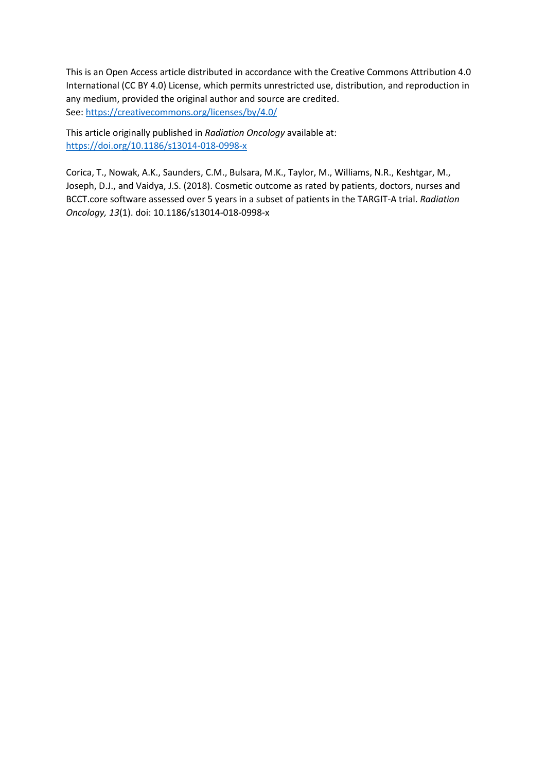This is an Open Access article distributed in accordance with the Creative Commons Attribution 4.0 International (CC BY 4.0) License, which permits unrestricted use, distribution, and reproduction in any medium, provided the original author and source are credited. See[: https://creativecommons.org/licenses/by/4.0/](https://creativecommons.org/licenses/by/4.0/)

This article originally published in *Radiation Oncology* available at: <https://doi.org/10.1186/s13014-018-0998-x>

Corica, T., Nowak, A.K., Saunders, C.M., Bulsara, M.K., Taylor, M., Williams, N.R., Keshtgar, M., Joseph, D.J., and Vaidya, J.S. (2018). Cosmetic outcome as rated by patients, doctors, nurses and BCCT.core software assessed over 5 years in a subset of patients in the TARGIT-A trial. *Radiation Oncology, 13*(1). doi: 10.1186/s13014-018-0998-x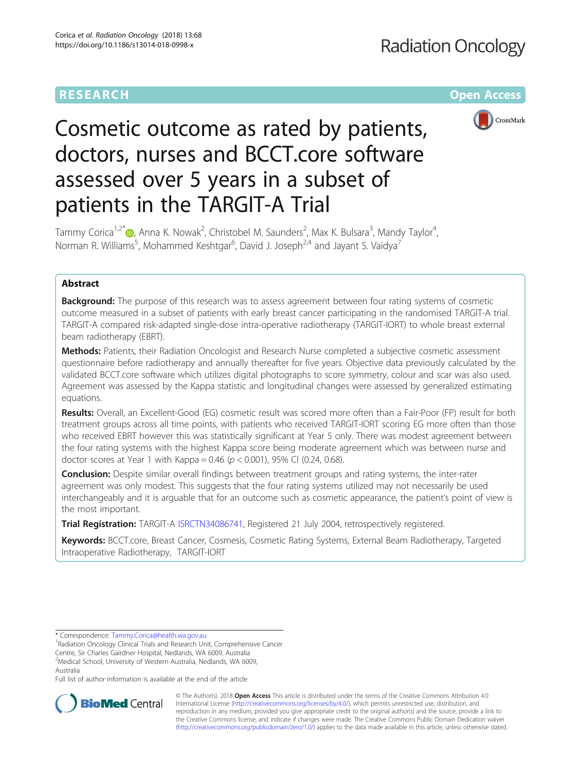# RESEARCH **RESEARCH CONSUMING THE CONSUMING THE CONSUMING THE CONSUMING TEAM Open Access**



# Cosmetic outcome as rated by patients, doctors, nurses and BCCT.core software assessed over 5 years in a subset of patients in the TARGIT-A Trial

Tammy Corica<sup>1,2\*</sup>®, Anna K. Nowak<sup>2</sup>, Christobel M. Saunders<sup>2</sup>, Max K. Bulsara<sup>3</sup>, Mandy Taylor<sup>4</sup> , Norman R. Williams<sup>5</sup>, Mohammed Keshtgar<sup>6</sup>, David J. Joseph<sup>2,4</sup> and Jayant S. Vaidya<sup>7</sup>

# Abstract

**Background:** The purpose of this research was to assess agreement between four rating systems of cosmetic outcome measured in a subset of patients with early breast cancer participating in the randomised TARGIT-A trial. TARGIT-A compared risk-adapted single-dose intra-operative radiotherapy (TARGIT-IORT) to whole breast external beam radiotherapy (EBRT).

Methods: Patients, their Radiation Oncologist and Research Nurse completed a subjective cosmetic assessment questionnaire before radiotherapy and annually thereafter for five years. Objective data previously calculated by the validated BCCT.core software which utilizes digital photographs to score symmetry, colour and scar was also used. Agreement was assessed by the Kappa statistic and longitudinal changes were assessed by generalized estimating equations.

Results: Overall, an Excellent-Good (EG) cosmetic result was scored more often than a Fair-Poor (FP) result for both treatment groups across all time points, with patients who received TARGIT-IORT scoring EG more often than those who received EBRT however this was statistically significant at Year 5 only. There was modest agreement between the four rating systems with the highest Kappa score being moderate agreement which was between nurse and doctor scores at Year 1 with Kappa = 0.46 ( $p < 0.001$ ), 95% CI (0.24, 0.68).

**Conclusion:** Despite similar overall findings between treatment groups and rating systems, the inter-rater agreement was only modest. This suggests that the four rating systems utilized may not necessarily be used interchangeably and it is arguable that for an outcome such as cosmetic appearance, the patient's point of view is the most important.

Trial Registration: TARGIT-A [ISRCTN34086741](http://www.isrctn.com/ISRCTN34086741), Registered 21 July 2004, retrospectively registered.

Keywords: BCCT.core, Breast Cancer, Cosmesis, Cosmetic Rating Systems, External Beam Radiotherapy, Targeted Intraoperative Radiotherapy, TARGIT-IORT

Full list of author information is available at the end of the article



© The Author(s). 2018 Open Access This article is distributed under the terms of the Creative Commons Attribution 4.0 International License [\(http://creativecommons.org/licenses/by/4.0/](http://creativecommons.org/licenses/by/4.0/)), which permits unrestricted use, distribution, and reproduction in any medium, provided you give appropriate credit to the original author(s) and the source, provide a link to the Creative Commons license, and indicate if changes were made. The Creative Commons Public Domain Dedication waiver [\(http://creativecommons.org/publicdomain/zero/1.0/](http://creativecommons.org/publicdomain/zero/1.0/)) applies to the data made available in this article, unless otherwise stated.

<sup>\*</sup> Correspondence: [Tammy.Corica@health.wa.gov.au](mailto:Tammy.Corica@health.wa.gov.au) <sup>1</sup>

<sup>&</sup>lt;sup>1</sup>Radiation Oncology Clinical Trials and Research Unit, Comprehensive Cancer

Centre, Sir Charles Gairdner Hospital, Nedlands, WA 6009, Australia <sup>2</sup>Medical School, University of Western Australia, Nedlands, WA 6009, Australia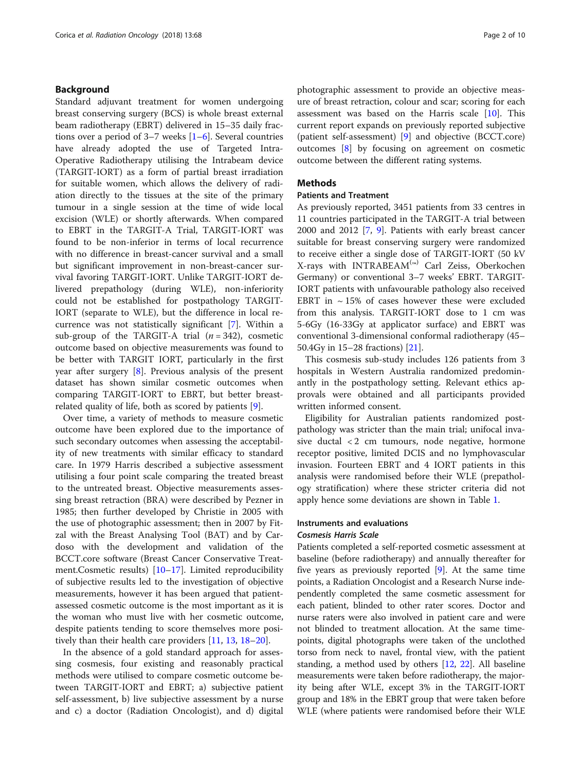#### Background

Standard adjuvant treatment for women undergoing breast conserving surgery (BCS) is whole breast external beam radiotherapy (EBRT) delivered in 15–35 daily fractions over a period of  $3-7$  weeks  $[1-6]$  $[1-6]$  $[1-6]$  $[1-6]$ . Several countries have already adopted the use of Targeted Intra-Operative Radiotherapy utilising the Intrabeam device (TARGIT-IORT) as a form of partial breast irradiation for suitable women, which allows the delivery of radiation directly to the tissues at the site of the primary tumour in a single session at the time of wide local excision (WLE) or shortly afterwards. When compared to EBRT in the TARGIT-A Trial, TARGIT-IORT was found to be non-inferior in terms of local recurrence with no difference in breast-cancer survival and a small but significant improvement in non-breast-cancer survival favoring TARGIT-IORT. Unlike TARGIT-IORT delivered prepathology (during WLE), non-inferiority could not be established for postpathology TARGIT-IORT (separate to WLE), but the difference in local recurrence was not statistically significant [[7\]](#page-11-0). Within a sub-group of the TARGIT-A trial  $(n = 342)$ , cosmetic outcome based on objective measurements was found to be better with TARGIT IORT, particularly in the first year after surgery [\[8](#page-11-0)]. Previous analysis of the present dataset has shown similar cosmetic outcomes when comparing TARGIT-IORT to EBRT, but better breastrelated quality of life, both as scored by patients [[9](#page-11-0)].

Over time, a variety of methods to measure cosmetic outcome have been explored due to the importance of such secondary outcomes when assessing the acceptability of new treatments with similar efficacy to standard care. In 1979 Harris described a subjective assessment utilising a four point scale comparing the treated breast to the untreated breast. Objective measurements assessing breast retraction (BRA) were described by Pezner in 1985; then further developed by Christie in 2005 with the use of photographic assessment; then in 2007 by Fitzal with the Breast Analysing Tool (BAT) and by Cardoso with the development and validation of the BCCT.core software (Breast Cancer Conservative Treatment.Cosmetic results) [[10](#page-11-0)–[17](#page-12-0)]. Limited reproducibility of subjective results led to the investigation of objective measurements, however it has been argued that patientassessed cosmetic outcome is the most important as it is the woman who must live with her cosmetic outcome, despite patients tending to score themselves more positively than their health care providers [[11](#page-11-0), [13](#page-12-0), [18](#page-12-0)–[20](#page-12-0)].

In the absence of a gold standard approach for assessing cosmesis, four existing and reasonably practical methods were utilised to compare cosmetic outcome between TARGIT-IORT and EBRT; a) subjective patient self-assessment, b) live subjective assessment by a nurse and c) a doctor (Radiation Oncologist), and d) digital photographic assessment to provide an objective measure of breast retraction, colour and scar; scoring for each assessment was based on the Harris scale [[10](#page-11-0)]. This current report expands on previously reported subjective (patient self-assessment) [[9\]](#page-11-0) and objective (BCCT.core) outcomes [\[8\]](#page-11-0) by focusing on agreement on cosmetic outcome between the different rating systems.

#### Methods

#### Patients and Treatment

As previously reported, 3451 patients from 33 centres in 11 countries participated in the TARGIT-A trial between 2000 and 2012 [[7,](#page-11-0) [9](#page-11-0)]. Patients with early breast cancer suitable for breast conserving surgery were randomized to receive either a single dose of TARGIT-IORT (50 kV X-rays with INTRABEAM<sup>(xx)</sup> Carl Zeiss, Oberkochen Germany) or conventional 3–7 weeks' EBRT. TARGIT-IORT patients with unfavourable pathology also received EBRT in  $\sim$  15% of cases however these were excluded from this analysis. TARGIT-IORT dose to 1 cm was 5-6Gy (16-33Gy at applicator surface) and EBRT was conventional 3-dimensional conformal radiotherapy (45– 50.4Gy in 15–28 fractions) [\[21\]](#page-12-0).

This cosmesis sub-study includes 126 patients from 3 hospitals in Western Australia randomized predominantly in the postpathology setting. Relevant ethics approvals were obtained and all participants provided written informed consent.

Eligibility for Australian patients randomized postpathology was stricter than the main trial; unifocal invasive ductal < 2 cm tumours, node negative, hormone receptor positive, limited DCIS and no lymphovascular invasion. Fourteen EBRT and 4 IORT patients in this analysis were randomised before their WLE (prepathology stratification) where these stricter criteria did not apply hence some deviations are shown in Table [1.](#page-5-0)

### Instruments and evaluations Cosmesis Harris Scale

Patients completed a self-reported cosmetic assessment at baseline (before radiotherapy) and annually thereafter for five years as previously reported [[9](#page-11-0)]. At the same time points, a Radiation Oncologist and a Research Nurse independently completed the same cosmetic assessment for each patient, blinded to other rater scores. Doctor and nurse raters were also involved in patient care and were not blinded to treatment allocation. At the same timepoints, digital photographs were taken of the unclothed torso from neck to navel, frontal view, with the patient standing, a method used by others [\[12,](#page-12-0) [22](#page-12-0)]. All baseline measurements were taken before radiotherapy, the majority being after WLE, except 3% in the TARGIT-IORT group and 18% in the EBRT group that were taken before WLE (where patients were randomised before their WLE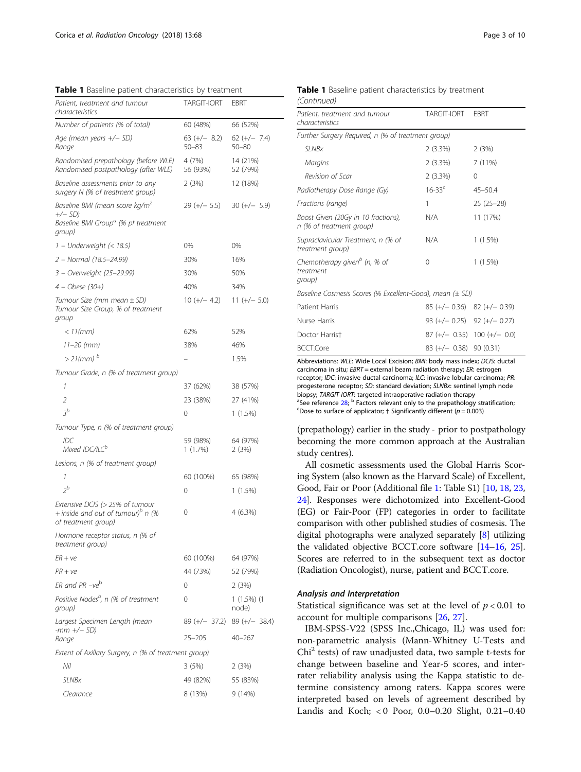<span id="page-5-0"></span>Table 1 Baseline patient characteristics by treatment

| Patient, treatment and tumour<br>characteristics                                                                    | <b>TARGIT-IORT</b>          | EBRT                        |
|---------------------------------------------------------------------------------------------------------------------|-----------------------------|-----------------------------|
| Number of patients (% of total)                                                                                     | 60 (48%)                    | 66 (52%)                    |
| Age (mean years +/- SD)<br>Range                                                                                    | $63 (+/- 8.2)$<br>$50 - 83$ | 62 $(+/- 7.4)$<br>$50 - 80$ |
| Randomised prepathology (before WLE)<br>Randomised postpathology (after WLE)                                        | 4 (7%)<br>56 (93%)          | 14 (21%)<br>52 (79%)        |
| Baseline assessments prior to any<br>surgery N (% of treatment group)                                               | 2(3%)                       | 12 (18%)                    |
| Baseline BMI (mean score kg/m <sup>2</sup><br>$+/- SD$<br>Baseline BMI Group <sup>a</sup> (% pf treatment<br>group) | $29 (+/- 5.5)$              | $30 (+/- 5.9)$              |
| $1 - Underweight$ (< 18.5)                                                                                          | 0%                          | 0%                          |
| 2 - Normal (18.5-24.99)                                                                                             | 30%                         | 16%                         |
| 3 - Overweight (25-29.99)                                                                                           | 30%                         | 50%                         |
| 4 – Obese (30+)                                                                                                     | 40%                         | 34%                         |
| Tumour Size (mm mean $\pm$ SD)<br>Tumour Size Group, % of treatment<br>group                                        | $10 (+/- 4.2)$              | $11 (+/- 5.0)$              |
| $< 11$ (mm)                                                                                                         | 62%                         | 52%                         |
| $11 - 20$ (mm)                                                                                                      | 38%                         | 46%                         |
| $>21$ (mm) <sup>b</sup>                                                                                             |                             | 1.5%                        |
| Tumour Grade, n (% of treatment group)                                                                              |                             |                             |
| 1                                                                                                                   | 37 (62%)                    | 38 (57%)                    |
| 2                                                                                                                   | 23 (38%)                    | 27 (41%)                    |
| $3^b$                                                                                                               | 0                           | 1(1.5%)                     |
| Tumour Type, n (% of treatment group)                                                                               |                             |                             |
| IDC<br>Mixed IDC/ILC <sup>b</sup>                                                                                   | 59 (98%)<br>1(1.7%)         | 64 (97%)<br>2 (3%)          |
| Lesions, n (% of treatment group)                                                                                   |                             |                             |
| 1                                                                                                                   | 60 (100%)                   | 65 (98%)                    |
| $2^b$                                                                                                               | 0                           | 1(1.5%)                     |
| Extensive DCIS (> 25% of tumour<br>+ inside and out of tumour) <sup>b</sup> n (%<br>of treatment group)             | 0                           | 4 (6.3%)                    |
| Hormone receptor status, n (% of<br>treatment group)                                                                |                             |                             |
| $ER + ve$                                                                                                           | 60 (100%)                   | 64 (97%)                    |
| $PR + ve$                                                                                                           | 44 (73%)                    | 52 (79%)                    |
| ER and PR –ve <sup>b</sup>                                                                                          | 0                           | 2(3%)                       |
| Positive Nodes <sup>b</sup> , n (% of treatment<br>group)                                                           | 0                           | $1(1.5\%)$ (1<br>node)      |
| Largest Specimen Length (mean<br>-mm +/– SD)                                                                        |                             | 89 (+/- 37.2) 89 (+/- 38.4) |
| Range                                                                                                               | $25 - 205$                  | $40 - 267$                  |
| Extent of Axillary Surgery, n (% of treatment group)                                                                |                             |                             |
| Nil                                                                                                                 | 3(5%)                       | 2(3%)                       |
| <b>SLNBx</b>                                                                                                        | 49 (82%)                    | 55 (83%)                    |
| Clearance                                                                                                           | 8 (13%)                     | 9 (14%)                     |

#### Table 1 Baseline patient characteristics by treatment (Continued)

| Patient, treatment and tumour<br>characteristics                            | TARGIT-IORT               | <b>EBRT</b>                     |  |  |  |
|-----------------------------------------------------------------------------|---------------------------|---------------------------------|--|--|--|
| Further Surgery Required, n (% of treatment group)                          |                           |                                 |  |  |  |
| SI NBx                                                                      | $2(3.3\%)$                | 2(3%)                           |  |  |  |
| Margins                                                                     | $2(3.3\%)$                | 7(11%)                          |  |  |  |
| Revision of Scar                                                            | 2(3.3%)                   | $\Omega$                        |  |  |  |
| Radiotherapy Dose Range (Gy)                                                | $16 - 33$ <sup>c</sup>    | $45 - 50.4$                     |  |  |  |
| Fractions (range)                                                           | 1                         | $25(25-28)$                     |  |  |  |
| Boost Given (20Gy in 10 fractions),<br>n (% of treatment group)             | N/A                       | 11 (17%)                        |  |  |  |
| Supraclavicular Treatment, n (% of<br>treatment group)                      | N/A                       | 1(1.5%)                         |  |  |  |
| Chemotherapy given <sup>b</sup> (n, % of<br>treatment<br>group)             | $\Omega$                  | 1(1.5%)                         |  |  |  |
| Baseline Cosmesis Scores (% Excellent-Good), mean (± SD)                    |                           |                                 |  |  |  |
| Patient Harris                                                              |                           | $85 (+/- 0.36)$ $82 (+/- 0.39)$ |  |  |  |
| Nurse Harris                                                                |                           | $93 (+/- 0.25)$ $92 (+/- 0.27)$ |  |  |  |
| Doctor Harrist                                                              |                           | $87 (+/- 0.35) 100 (+/- 0.0)$   |  |  |  |
| <b>BCCT.Core</b>                                                            | $83 (+/- 0.38)$ 90 (0.31) |                                 |  |  |  |
| Abbreviations: WLF: Wide Local Excision: BMI: body mass index: DCIS: ductal |                           |                                 |  |  |  |

Abbreviations: WLE: Wide Local Excision; BMI: body mass index; DCIS: ductal carcinoma in situ; EBRT = external beam radiation therapy; ER: estrogen receptor; IDC: invasive ductal carcinoma; ILC: invasive lobular carcinoma; PR: progesterone receptor; SD: standard deviation; SLNBx: sentinel lymph node biopsy; TARGIT-IORT: targeted intraoperative radiation therapy  $^{\text{a}}$ See reference [28;](#page-12-0)  $^{\text{b}}$  Factors relevant only to the prepathology stratification; <sup>c</sup>Dose to surface of applicator;  $\dagger$  Significantly different ( $p = 0.003$ )

(prepathology) earlier in the study - prior to postpathology becoming the more common approach at the Australian study centres).

All cosmetic assessments used the Global Harris Scoring System (also known as the Harvard Scale) of Excellent, Good, Fair or Poor (Additional file [1](#page-11-0): Table S1) [\[10,](#page-11-0) [18](#page-12-0), [23](#page-12-0), [24](#page-12-0)]. Responses were dichotomized into Excellent-Good (EG) or Fair-Poor (FP) categories in order to facilitate comparison with other published studies of cosmesis. The digital photographs were analyzed separately [\[8](#page-11-0)] utilizing the validated objective BCCT.core software [\[14](#page-12-0)–[16](#page-12-0), [25](#page-12-0)]. Scores are referred to in the subsequent text as doctor (Radiation Oncologist), nurse, patient and BCCT.core.

#### Analysis and Interpretation

Statistical significance was set at the level of  $p < 0.01$  to account for multiple comparisons [\[26](#page-12-0), [27\]](#page-12-0).

IBM-SPSS-V22 (SPSS Inc.,Chicago, IL) was used for: non-parametric analysis (Mann-Whitney U-Tests and  $Chi<sup>2</sup>$  tests) of raw unadjusted data, two sample t-tests for change between baseline and Year-5 scores, and interrater reliability analysis using the Kappa statistic to determine consistency among raters. Kappa scores were interpreted based on levels of agreement described by Landis and Koch; < 0 Poor, 0.0–0.20 Slight, 0.21–0.40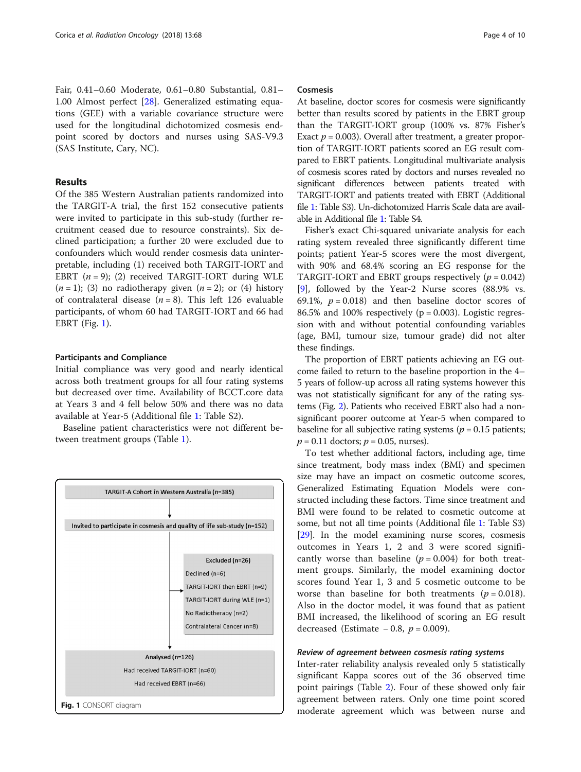Fair, 0.41–0.60 Moderate, 0.61–0.80 Substantial, 0.81– 1.00 Almost perfect [\[28\]](#page-12-0). Generalized estimating equations (GEE) with a variable covariance structure were used for the longitudinal dichotomized cosmesis endpoint scored by doctors and nurses using SAS-V9.3 (SAS Institute, Cary, NC).

#### Results

Of the 385 Western Australian patients randomized into the TARGIT-A trial, the first 152 consecutive patients were invited to participate in this sub-study (further recruitment ceased due to resource constraints). Six declined participation; a further 20 were excluded due to confounders which would render cosmesis data uninterpretable, including (1) received both TARGIT-IORT and EBRT  $(n = 9)$ ; (2) received TARGIT-IORT during WLE  $(n = 1)$ ; (3) no radiotherapy given  $(n = 2)$ ; or (4) history of contralateral disease  $(n = 8)$ . This left 126 evaluable participants, of whom 60 had TARGIT-IORT and 66 had EBRT (Fig. 1).

#### Participants and Compliance

Initial compliance was very good and nearly identical across both treatment groups for all four rating systems but decreased over time. Availability of BCCT.core data at Years 3 and 4 fell below 50% and there was no data available at Year-5 (Additional file [1](#page-11-0): Table S2).

Baseline patient characteristics were not different between treatment groups (Table [1\)](#page-5-0).



#### Cosmesis

At baseline, doctor scores for cosmesis were significantly better than results scored by patients in the EBRT group than the TARGIT-IORT group (100% vs. 87% Fisher's Exact  $p = 0.003$ ). Overall after treatment, a greater proportion of TARGIT-IORT patients scored an EG result compared to EBRT patients. Longitudinal multivariate analysis of cosmesis scores rated by doctors and nurses revealed no significant differences between patients treated with TARGIT-IORT and patients treated with EBRT (Additional file [1](#page-11-0): Table S3). Un-dichotomized Harris Scale data are available in Additional file [1](#page-11-0): Table S4.

Fisher's exact Chi-squared univariate analysis for each rating system revealed three significantly different time points; patient Year-5 scores were the most divergent, with 90% and 68.4% scoring an EG response for the TARGIT-IORT and EBRT groups respectively ( $p = 0.042$ ) [[9\]](#page-11-0), followed by the Year-2 Nurse scores (88.9% vs. 69.1%,  $p = 0.018$  and then baseline doctor scores of 86.5% and 100% respectively ( $p = 0.003$ ). Logistic regression with and without potential confounding variables (age, BMI, tumour size, tumour grade) did not alter these findings.

The proportion of EBRT patients achieving an EG outcome failed to return to the baseline proportion in the 4– 5 years of follow-up across all rating systems however this was not statistically significant for any of the rating systems (Fig. [2\)](#page-7-0). Patients who received EBRT also had a nonsignificant poorer outcome at Year-5 when compared to baseline for all subjective rating systems ( $p = 0.15$  patients;  $p = 0.11$  doctors;  $p = 0.05$ , nurses).

To test whether additional factors, including age, time since treatment, body mass index (BMI) and specimen size may have an impact on cosmetic outcome scores, Generalized Estimating Equation Models were constructed including these factors. Time since treatment and BMI were found to be related to cosmetic outcome at some, but not all time points (Additional file [1](#page-11-0): Table S3) [[29](#page-12-0)]. In the model examining nurse scores, cosmesis outcomes in Years 1, 2 and 3 were scored significantly worse than baseline  $(p = 0.004)$  for both treatment groups. Similarly, the model examining doctor scores found Year 1, 3 and 5 cosmetic outcome to be worse than baseline for both treatments  $(p = 0.018)$ . Also in the doctor model, it was found that as patient BMI increased, the likelihood of scoring an EG result decreased (Estimate  $-0.8$ ,  $p = 0.009$ ).

#### Review of agreement between cosmesis rating systems

Inter-rater reliability analysis revealed only 5 statistically significant Kappa scores out of the 36 observed time point pairings (Table [2](#page-8-0)). Four of these showed only fair agreement between raters. Only one time point scored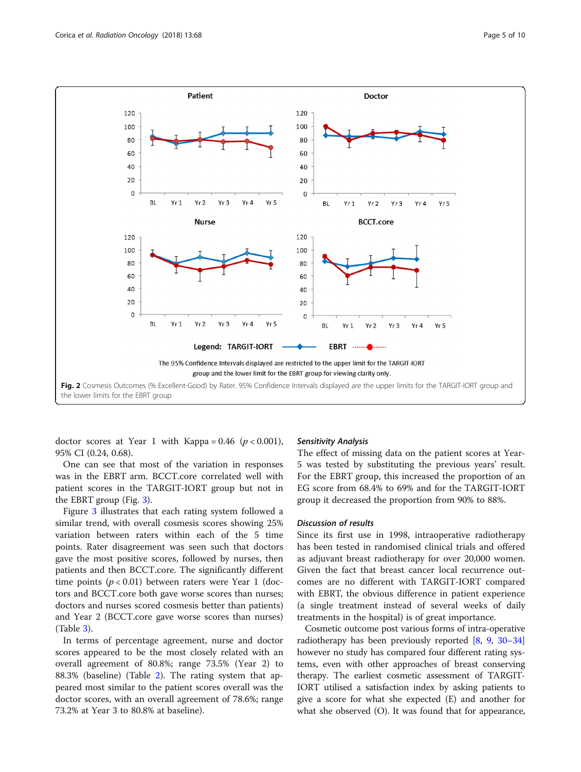<span id="page-7-0"></span>

doctor scores at Year 1 with Kappa = 0.46 ( $p < 0.001$ ), 95% CI (0.24, 0.68).

One can see that most of the variation in responses was in the EBRT arm. BCCT.core correlated well with patient scores in the TARGIT-IORT group but not in the EBRT group (Fig. [3\)](#page-9-0).

Figure [3](#page-9-0) illustrates that each rating system followed a similar trend, with overall cosmesis scores showing 25% variation between raters within each of the 5 time points. Rater disagreement was seen such that doctors gave the most positive scores, followed by nurses, then patients and then BCCT.core. The significantly different time points ( $p < 0.01$ ) between raters were Year 1 (doctors and BCCT.core both gave worse scores than nurses; doctors and nurses scored cosmesis better than patients) and Year 2 (BCCT.core gave worse scores than nurses) (Table [3\)](#page-9-0).

In terms of percentage agreement, nurse and doctor scores appeared to be the most closely related with an overall agreement of 80.8%; range 73.5% (Year 2) to 88.3% (baseline) (Table [2](#page-8-0)). The rating system that appeared most similar to the patient scores overall was the doctor scores, with an overall agreement of 78.6%; range 73.2% at Year 3 to 80.8% at baseline).

#### Sensitivity Analysis

The effect of missing data on the patient scores at Year-5 was tested by substituting the previous years' result. For the EBRT group, this increased the proportion of an EG score from 68.4% to 69% and for the TARGIT-IORT group it decreased the proportion from 90% to 88%.

#### Discussion of results

Since its first use in 1998, intraoperative radiotherapy has been tested in randomised clinical trials and offered as adjuvant breast radiotherapy for over 20,000 women. Given the fact that breast cancer local recurrence outcomes are no different with TARGIT-IORT compared with EBRT, the obvious difference in patient experience (a single treatment instead of several weeks of daily treatments in the hospital) is of great importance.

Cosmetic outcome post various forms of intra-operative radiotherapy has been previously reported [[8](#page-11-0), [9,](#page-11-0) [30](#page-12-0)–[34](#page-12-0)] however no study has compared four different rating systems, even with other approaches of breast conserving therapy. The earliest cosmetic assessment of TARGIT-IORT utilised a satisfaction index by asking patients to give a score for what she expected (E) and another for what she observed (O). It was found that for appearance,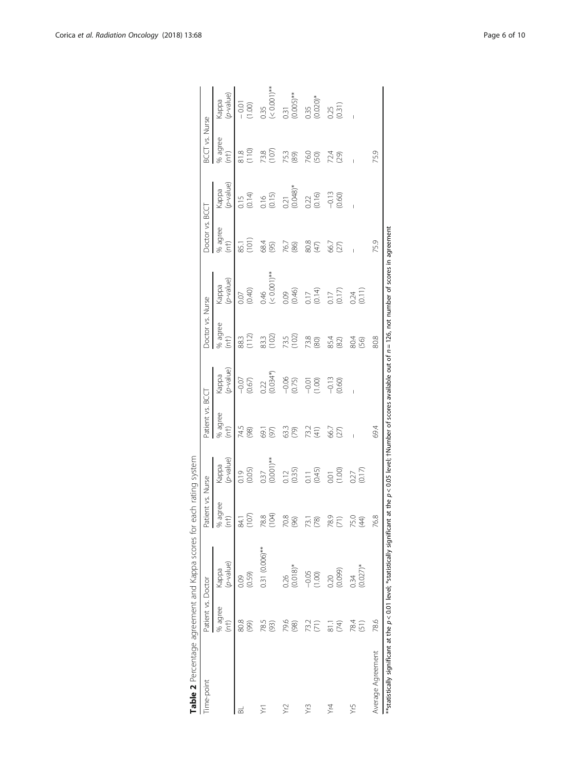<span id="page-8-0"></span>

| Time-point                                                                                                                                                                                     | Patient vs. Doctor      |                     | Patient vs. Nurse                                         |                                                                                                                                                                                                                                                                            | Patient vs. BCCT         |                                                                                              | Doctor vs. Nurse                                                                                                                                                                                                                                                                                              |                                                                               | Doctor vs. BCCT               |                                                                                                                                     | <b>BCCT</b> vs. Nurse        |                                            |
|------------------------------------------------------------------------------------------------------------------------------------------------------------------------------------------------|-------------------------|---------------------|-----------------------------------------------------------|----------------------------------------------------------------------------------------------------------------------------------------------------------------------------------------------------------------------------------------------------------------------------|--------------------------|----------------------------------------------------------------------------------------------|---------------------------------------------------------------------------------------------------------------------------------------------------------------------------------------------------------------------------------------------------------------------------------------------------------------|-------------------------------------------------------------------------------|-------------------------------|-------------------------------------------------------------------------------------------------------------------------------------|------------------------------|--------------------------------------------|
|                                                                                                                                                                                                | % agree<br>(F)          | (enjev-d<br>Kappa   | $\frac{1}{2}$ agree                                       | (an p-4)<br>Kappa                                                                                                                                                                                                                                                          | % agree<br>$\widehat{t}$ | (p-value)<br>kappa                                                                           | % agree<br>$\widehat{t}$                                                                                                                                                                                                                                                                                      | (p-value)<br>Kappa                                                            | % agree<br>$(n+)$             | Kappa<br>(p-value)                                                                                                                  | % agree<br>$\widehat{t}$     | (p-value)<br>Kappa                         |
| ಹ                                                                                                                                                                                              | 80.8<br>(66)            | (0.59)<br>0.09      | $\left  \begin{array}{c} 34.1 \\ 107 \end{array} \right $ |                                                                                                                                                                                                                                                                            | 74.5<br>(98)             |                                                                                              |                                                                                                                                                                                                                                                                                                               |                                                                               |                               |                                                                                                                                     | $rac{8}{(110)}$              |                                            |
| Σh                                                                                                                                                                                             | 78.5<br>(93)            | $0.31(0.006)$ **    | $\frac{8}{8}$ $\frac{4}{2}$                               |                                                                                                                                                                                                                                                                            | 69.1<br>(97)             | $\begin{bmatrix} 0.07 \\ 0.67 \end{bmatrix}$<br>$\begin{bmatrix} 0.07 \\ 0.22 \end{bmatrix}$ |                                                                                                                                                                                                                                                                                                               | $0.07$<br>(0.40)<br>0.46<br>(< 0.001)**                                       | 85.1<br>(101)<br>68.4<br>(95) |                                                                                                                                     | $73.8$<br>(107)              | $-0.01$<br>(1.00)<br>0.35<br>(<0.001)**    |
| Υ'n2                                                                                                                                                                                           | 79.6<br>(98)            | $(0.018)*$<br>0.26  | $70.8$<br>(96)                                            |                                                                                                                                                                                                                                                                            | 63.3<br>(79)             | $-0.06$<br>(0.75)                                                                            |                                                                                                                                                                                                                                                                                                               |                                                                               | 76.7<br>(86)                  | $\begin{array}{c cc}\n\hline\n0.15 & & \\ (0.14) & & \\ 0.16 & & \\ (0.15) & & \\ 0.21 & & \\ (0.048)^* & & \\ \hline\n\end{array}$ | 75.3<br>(89)                 | $0.31$<br>( $0.005$ )**                    |
| Yr3                                                                                                                                                                                            | 73.2<br>(71)            | $-0.05$<br>(1.00)   | $\frac{1}{2}$                                             | $\begin{array}{l} 0.9\\ 0.05\\ 0.001\\ 0.001\\ 0.001\\ 0.01\\ 0.001\\ 0.01\\ 0.01\\ 0.01\\ 0.01\\ 0.01\\ 0.01\\ 0.01\\ 0.01\\ 0.01\\ 0.01\\ 0.01\\ 0.01\\ 0.01\\ 0.01\\ 0.01\\ 0.01\\ 0.01\\ 0.01\\ 0.01\\ 0.01\\ 0.01\\ 0.01\\ 0.01\\ 0.01\\ 0.01\\ 0.01\\ 0.01\\ 0.01\\$ | $73.2$<br>(41)           | $-0.00$                                                                                      | $\begin{array}{c} 88.3 \\ 11.2 \\ 83.3 \\ 13.2 \\ 10.2 \\ 11.2 \\ 12.3 \\ 13.4 \\ 13.5 \\ 14.5 \\ 15.4 \\ 16.2 \\ 18.5 \\ 18.5 \\ 18.2 \\ 18.5 \\ 18.2 \\ 18.5 \\ 18.2 \\ 19.4 \\ 19.5 \\ 19.5 \\ 19.5 \\ 19.5 \\ 19.5 \\ 19.5 \\ 19.5 \\ 19.5 \\ 19.5 \\ 19.5 \\ 19.5 \\ 19.5 \\ 19.5 \\ 19.5 \\ 19.5 \\ 19$ | $\begin{array}{c} 0.09 \\ 0.46) \\ 0.17 \\ 0.14) \\ 0.17 \\ 0.17 \end{array}$ | 80.8<br>(47)<br>(67)          | $0.22$<br>(0.16)                                                                                                                    |                              |                                            |
| Ύ14                                                                                                                                                                                            | $\overline{81}$<br>(74) | (0.099)<br>0.20     | $\frac{78.9}{(71)}$                                       |                                                                                                                                                                                                                                                                            | 66.7                     | $-0.13$<br>$(0.60)$                                                                          |                                                                                                                                                                                                                                                                                                               |                                                                               |                               | $-0.13$<br>$(0.60)$                                                                                                                 | 76.0<br>(50)<br>72.4<br>(29) | $0.35$<br>$(0.020)*$<br>$0.25$<br>$(0.31)$ |
| Yr5                                                                                                                                                                                            | 78.4<br>(51)            | $(0.027)$ *<br>0.34 | E                                                         |                                                                                                                                                                                                                                                                            |                          |                                                                                              | 80.4<br>(56)                                                                                                                                                                                                                                                                                                  | $0.24$<br>(0.11)                                                              |                               |                                                                                                                                     |                              |                                            |
| Average Agreement                                                                                                                                                                              | 78.6                    |                     |                                                           |                                                                                                                                                                                                                                                                            | 69.4                     |                                                                                              | 80.8                                                                                                                                                                                                                                                                                                          |                                                                               | 75.9                          |                                                                                                                                     | 75.9                         |                                            |
| $^{**}$ statistically significant at the $p <$ 0.01 level; *statistically significant at the $p <$ 0.05 level; †Number of scores available out of $n =$ 126, not number of scores in agreement |                         |                     |                                                           |                                                                                                                                                                                                                                                                            |                          |                                                                                              |                                                                                                                                                                                                                                                                                                               |                                                                               |                               |                                                                                                                                     |                              |                                            |

Table 2 Percentage agreement and Kappa scores for each rating system Table 2 Percentage agreement and Kappa scores for each rating system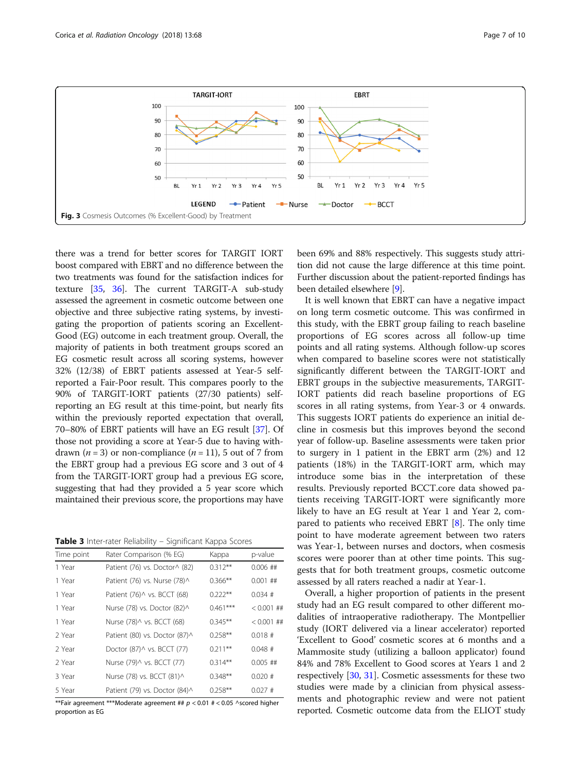<span id="page-9-0"></span>

there was a trend for better scores for TARGIT IORT boost compared with EBRT and no difference between the two treatments was found for the satisfaction indices for texture [[35](#page-12-0), [36\]](#page-12-0). The current TARGIT-A sub-study assessed the agreement in cosmetic outcome between one objective and three subjective rating systems, by investigating the proportion of patients scoring an Excellent-Good (EG) outcome in each treatment group. Overall, the majority of patients in both treatment groups scored an EG cosmetic result across all scoring systems, however 32% (12/38) of EBRT patients assessed at Year-5 selfreported a Fair-Poor result. This compares poorly to the 90% of TARGIT-IORT patients (27/30 patients) selfreporting an EG result at this time-point, but nearly fits within the previously reported expectation that overall, 70–80% of EBRT patients will have an EG result [\[37\]](#page-12-0). Of those not providing a score at Year-5 due to having withdrawn ( $n = 3$ ) or non-compliance ( $n = 11$ ), 5 out of 7 from the EBRT group had a previous EG score and 3 out of 4 from the TARGIT-IORT group had a previous EG score, suggesting that had they provided a 5 year score which maintained their previous score, the proportions may have

Table 3 Inter-rater Reliability - Significant Kappa Scores

| Time point | Rater Comparison (% EG)               | Kappa      | p-value      |
|------------|---------------------------------------|------------|--------------|
| 1 Year     | Patient (76) vs. Doctor^ (82)         | $0.312**$  | $0.006$ ##   |
| 1 Year     | Patient (76) vs. Nurse (78)^          | $0.366***$ | $0.001$ ##   |
| 1 Year     | Patient $(76) \wedge$ vs. BCCT $(68)$ | $0.222**$  | 0.034#       |
| 1 Year     | Nurse (78) vs. Doctor (82)^           | $0.461***$ | $< 0.001$ ## |
| 1 Year     | Nurse (78) ^ vs. BCCT (68)            | $0.345**$  | $< 0.001$ ## |
| 2 Year     | Patient (80) vs. Doctor (87)^         | $0.258**$  | 0.018#       |
| 2 Year     | Doctor (87) ^ vs. BCCT (77)           | $0.211***$ | 0.048#       |
| 2 Year     | Nurse (79) ^ vs. BCCT (77)            | $0.314**$  | $0.005$ ##   |
| 3 Year     | Nurse (78) vs. BCCT (81)^             | $0.348**$  | 0.020#       |
| 5 Year     | Patient (79) vs. Doctor (84)^         | $0.258**$  | 0.027#       |

\*\*Fair agreement \*\*\*Moderate agreement ##  $p < 0.01$  # < 0.05 ^scored higher proportion as EG

been 69% and 88% respectively. This suggests study attrition did not cause the large difference at this time point. Further discussion about the patient-reported findings has been detailed elsewhere [[9\]](#page-11-0).

It is well known that EBRT can have a negative impact on long term cosmetic outcome. This was confirmed in this study, with the EBRT group failing to reach baseline proportions of EG scores across all follow-up time points and all rating systems. Although follow-up scores when compared to baseline scores were not statistically significantly different between the TARGIT-IORT and EBRT groups in the subjective measurements, TARGIT-IORT patients did reach baseline proportions of EG scores in all rating systems, from Year-3 or 4 onwards. This suggests IORT patients do experience an initial decline in cosmesis but this improves beyond the second year of follow-up. Baseline assessments were taken prior to surgery in 1 patient in the EBRT arm (2%) and 12 patients (18%) in the TARGIT-IORT arm, which may introduce some bias in the interpretation of these results. Previously reported BCCT.core data showed patients receiving TARGIT-IORT were significantly more likely to have an EG result at Year 1 and Year 2, compared to patients who received EBRT [\[8](#page-11-0)]. The only time point to have moderate agreement between two raters was Year-1, between nurses and doctors, when cosmesis scores were poorer than at other time points. This suggests that for both treatment groups, cosmetic outcome assessed by all raters reached a nadir at Year-1.

Overall, a higher proportion of patients in the present study had an EG result compared to other different modalities of intraoperative radiotherapy. The Montpellier study (IORT delivered via a linear accelerator) reported 'Excellent to Good' cosmetic scores at 6 months and a Mammosite study (utilizing a balloon applicator) found 84% and 78% Excellent to Good scores at Years 1 and 2 respectively [\[30](#page-12-0), [31](#page-12-0)]. Cosmetic assessments for these two studies were made by a clinician from physical assessments and photographic review and were not patient reported. Cosmetic outcome data from the ELIOT study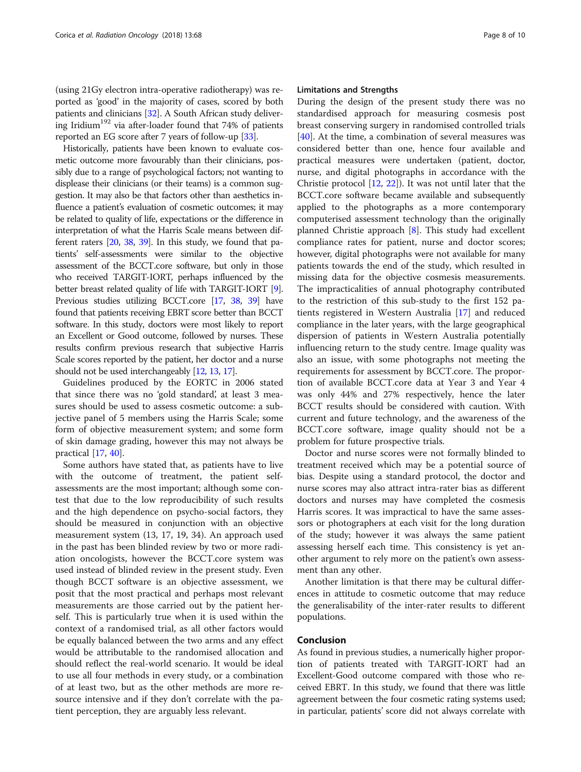(using 21Gy electron intra-operative radiotherapy) was reported as 'good' in the majority of cases, scored by both patients and clinicians [\[32\]](#page-12-0). A South African study delivering Iridium192 via after-loader found that 74% of patients reported an EG score after 7 years of follow-up [\[33\]](#page-12-0).

Historically, patients have been known to evaluate cosmetic outcome more favourably than their clinicians, possibly due to a range of psychological factors; not wanting to displease their clinicians (or their teams) is a common suggestion. It may also be that factors other than aesthetics influence a patient's evaluation of cosmetic outcomes; it may be related to quality of life, expectations or the difference in interpretation of what the Harris Scale means between different raters [\[20](#page-12-0), [38,](#page-12-0) [39\]](#page-12-0). In this study, we found that patients' self-assessments were similar to the objective assessment of the BCCT.core software, but only in those who received TARGIT-IORT, perhaps influenced by the better breast related quality of life with TARGIT-IORT [[9](#page-11-0)]. Previous studies utilizing BCCT.core [\[17,](#page-12-0) [38](#page-12-0), [39\]](#page-12-0) have found that patients receiving EBRT score better than BCCT software. In this study, doctors were most likely to report an Excellent or Good outcome, followed by nurses. These results confirm previous research that subjective Harris Scale scores reported by the patient, her doctor and a nurse should not be used interchangeably [[12](#page-12-0), [13](#page-12-0), [17](#page-12-0)].

Guidelines produced by the EORTC in 2006 stated that since there was no 'gold standard', at least 3 measures should be used to assess cosmetic outcome: a subjective panel of 5 members using the Harris Scale; some form of objective measurement system; and some form of skin damage grading, however this may not always be practical [[17](#page-12-0), [40](#page-12-0)].

Some authors have stated that, as patients have to live with the outcome of treatment, the patient selfassessments are the most important; although some contest that due to the low reproducibility of such results and the high dependence on psycho-social factors, they should be measured in conjunction with an objective measurement system (13, 17, 19, 34). An approach used in the past has been blinded review by two or more radiation oncologists, however the BCCT.core system was used instead of blinded review in the present study. Even though BCCT software is an objective assessment, we posit that the most practical and perhaps most relevant measurements are those carried out by the patient herself. This is particularly true when it is used within the context of a randomised trial, as all other factors would be equally balanced between the two arms and any effect would be attributable to the randomised allocation and should reflect the real-world scenario. It would be ideal to use all four methods in every study, or a combination of at least two, but as the other methods are more resource intensive and if they don't correlate with the patient perception, they are arguably less relevant.

#### Limitations and Strengths

During the design of the present study there was no standardised approach for measuring cosmesis post breast conserving surgery in randomised controlled trials [[40\]](#page-12-0). At the time, a combination of several measures was considered better than one, hence four available and practical measures were undertaken (patient, doctor, nurse, and digital photographs in accordance with the Christie protocol  $[12, 22]$  $[12, 22]$  $[12, 22]$  $[12, 22]$ ). It was not until later that the BCCT.core software became available and subsequently applied to the photographs as a more contemporary computerised assessment technology than the originally planned Christie approach [[8\]](#page-11-0). This study had excellent compliance rates for patient, nurse and doctor scores; however, digital photographs were not available for many patients towards the end of the study, which resulted in missing data for the objective cosmesis measurements. The impracticalities of annual photography contributed to the restriction of this sub-study to the first 152 patients registered in Western Australia [[17\]](#page-12-0) and reduced compliance in the later years, with the large geographical dispersion of patients in Western Australia potentially influencing return to the study centre. Image quality was also an issue, with some photographs not meeting the requirements for assessment by BCCT.core. The proportion of available BCCT.core data at Year 3 and Year 4 was only 44% and 27% respectively, hence the later BCCT results should be considered with caution. With current and future technology, and the awareness of the BCCT.core software, image quality should not be a problem for future prospective trials.

Doctor and nurse scores were not formally blinded to treatment received which may be a potential source of bias. Despite using a standard protocol, the doctor and nurse scores may also attract intra-rater bias as different doctors and nurses may have completed the cosmesis Harris scores. It was impractical to have the same assessors or photographers at each visit for the long duration of the study; however it was always the same patient assessing herself each time. This consistency is yet another argument to rely more on the patient's own assessment than any other.

Another limitation is that there may be cultural differences in attitude to cosmetic outcome that may reduce the generalisability of the inter-rater results to different populations.

#### Conclusion

As found in previous studies, a numerically higher proportion of patients treated with TARGIT-IORT had an Excellent-Good outcome compared with those who received EBRT. In this study, we found that there was little agreement between the four cosmetic rating systems used; in particular, patients' score did not always correlate with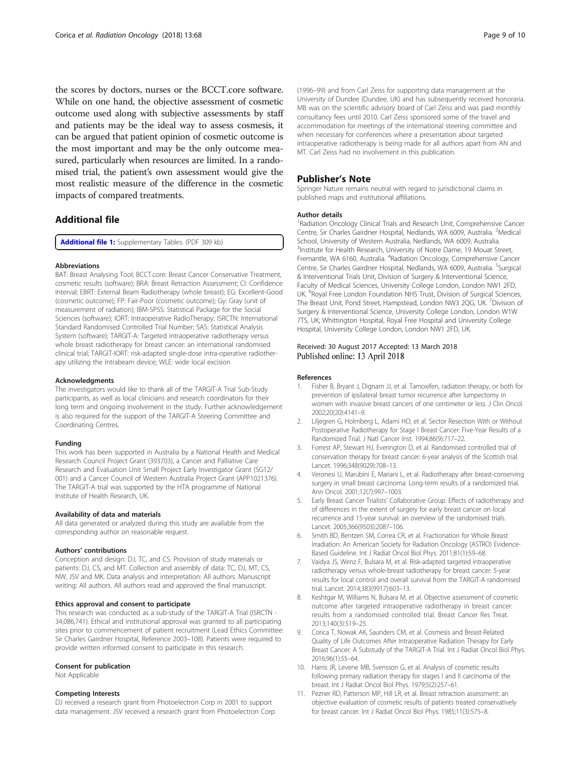<span id="page-11-0"></span>the scores by doctors, nurses or the BCCT.core software. While on one hand, the objective assessment of cosmetic outcome used along with subjective assessments by staff and patients may be the ideal way to assess cosmesis, it can be argued that patient opinion of cosmetic outcome is the most important and may be the only outcome measured, particularly when resources are limited. In a randomised trial, the patient's own assessment would give the most realistic measure of the difference in the cosmetic impacts of compared treatments.

#### Additional file

[Additional file 1:](https://doi.org/10.1186/s13014-018-0998-x) Supplementary Tables. (PDF 309 kb)

#### **Abbreviations**

BAT: Breast Analysing Tool; BCCT.core: Breast Cancer Conservative Treatment, cosmetic results (software); BRA: Breast Retraction Assessment; CI: Confidence Interval; EBRT: External Beam Radiotherapy (whole breast); EG: Excellent-Good (cosmetic outcome); FP: Fair-Poor (cosmetic outcome); Gy: Gray (unit of measurement of radiation); IBM-SPSS: Statistical Package for the Social Sciences (software); IORT: Intraoperative RadioTherapy; ISRCTN: International Standard Randomised Controlled Trial Number; SAS: Statistical Analysis System (software); TARGIT-A: Targeted intraoperative radiotherapy versus whole breast radiotherapy for breast cancer: an international randomised clinical trial; TARGIT-IORT: risk-adapted single-dose intra-operative radiotherapy utilizing the Intrabeam device; WLE: wide local excision

#### Acknowledgments

The investigators would like to thank all of the TARGIT-A Trial Sub-Study participants, as well as local clinicians and research coordinators for their long term and ongoing involvement in the study. Further acknowledgement is also required for the support of the TARGIT-A Steering Committee and Coordinating Centres.

#### Funding

This work has been supported in Australia by a National Health and Medical Research Council Project Grant (393703), a Cancer and Palliative Care Research and Evaluation Unit Small Project Early Investigator Grant (SG12/ 001) and a Cancer Council of Western Australia Project Grant (APP1021376). The TARGIT-A trial was supported by the HTA programme of National Institute of Health Research, UK.

#### Availability of data and materials

All data generated or analyzed during this study are available from the corresponding author on reasonable request.

#### Authors' contributions

Conception and design: DJ, TC, and CS. Provision of study materials or patients: DJ, CS, and MT. Collection and assembly of data: TC, DJ, MT, CS, NW, JSV and MK. Data analysis and interpretation: All authors. Manuscript writing: All authors. All authors read and approved the final manuscript.

#### Ethics approval and consent to participate

This research was conducted as a sub-study of the TARGIT-A Trial (ISRCTN - 34,086,741). Ethical and institutional approval was granted to all participating sites prior to commencement of patient recruitment (Lead Ethics Committee: Sir Charles Gairdner Hospital, Reference 2003–108). Patients were required to provide written informed consent to participate in this research.

#### Consent for publication

Not Applicable

#### Competing Interests

DJ received a research grant from Photoelectron Corp in 2001 to support data management. JSV received a research grant from Photoelectron Corp (1996–99) and from Carl Zeiss for supporting data management at the University of Dundee (Dundee, UK) and has subsequently received honoraria. MB was on the scientific advisory board of Carl Zeiss and was paid monthly consultancy fees until 2010. Carl Zeiss sponsored some of the travel and accommodation for meetings of the international steering committee and when necessary for conferences where a presentation about targeted intraoperative radiotherapy is being made for all authors apart from AN and MT. Carl Zeiss had no involvement in this publication.

#### Publisher's Note

Springer Nature remains neutral with regard to jurisdictional claims in published maps and institutional affiliations.

#### Author details

<sup>1</sup> Radiation Oncology Clinical Trials and Research Unit, Comprehensive Cancer Centre, Sir Charles Gairdner Hospital, Nedlands, WA 6009, Australia. <sup>2</sup>Medical School, University of Western Australia, Nedlands, WA 6009, Australia. <sup>3</sup>Institute for Health Research, University of Notre Dame, 19 Mouat Street, Fremantle, WA 6160, Australia. <sup>4</sup>Radiation Oncology, Comprehensive Cancer Centre, Sir Charles Gairdner Hospital, Nedlands, WA 6009, Australia. <sup>5</sup>Surgical & Interventional Trials Unit, Division of Surgery & Interventional Science, Faculty of Medical Sciences, University College London, London NW1 2FD, UK. <sup>6</sup>Royal Free London Foundation NHS Trust, Division of Surgical Sciences, The Breast Unit, Pond Street, Hampstead, London NW3 2QG, UK. <sup>7</sup>Division of Surgery & Interventional Science, University College London, London W1W 7TS, UK; Whittington Hospital, Royal Free Hospital and University College Hospital, University College London, London NW1 2FD, UK.

#### Received: 30 August 2017 Accepted: 13 March 2018 Published online: 13 April 2018

#### References

- 1. Fisher B, Bryant J, Dignam JJ, et al. Tamoxifen, radiation therapy, or both for prevention of ipsilateral breast tumor recurrence after lumpectomy in women with invasive breast cancers of one centimeter or less. J Clin Oncol. 2002;20(20):4141–9.
- 2. Liljegren G, Holmberg L, Adami HO, et al. Sector Resection With or Without Postoperative Radiotherapy for Stage I Breast Cancer: Five-Year Results of a Randomized Trial. J Natl Cancer Inst. 1994;86(9):717–22.
- 3. Forrest AP, Stewart HJ, Everington D, et al. Randomised controlled trial of conservation therapy for breast cancer: 6-year analysis of the Scottish trial. Lancet. 1996;348(9029):708–13.
- 4. Veronesi U, Marubini E, Mariani L, et al. Radiotherapy after breast-conserving surgery in small breast carcinoma: Long-term results of a randomized trial. Ann Oncol. 2001;12(7):997–1003.
- 5. Early Breast Cancer Trialists' Collaborative Group. Effects of radiotherapy and of differences in the extent of surgery for early breast cancer on local recurrence and 15-year survival: an overview of the randomised trials. Lancet. 2005;366(9503):2087–106.
- 6. Smith BD, Bentzen SM, Correa CR, et al. Fractionation for Whole Breast Irradiation: An American Society for Radiation Oncology (ASTRO) Evidence-Based Guideline. Int J Radiat Oncol Biol Phys. 2011;81(1):59–68.
- 7. Vaidya JS, Wenz F, Bulsara M, et al. Risk-adapted targeted intraoperative radiotherapy versus whole-breast radiotherapy for breast cancer: 5-year results for local control and overall survival from the TARGIT-A randomised trial. Lancet. 2014;383(9917):603–13.
- 8. Keshtgar M, Williams N, Bulsara M, et al. Objective assessment of cosmetic outcome after targeted intraoperative radiotherapy in breast cancer: results from a randomised controlled trial. Breast Cancer Res Treat. 2013;140(3):519–25.
- 9. Corica T, Nowak AK, Saunders CM, et al. Cosmesis and Breast-Related Quality of Life Outcomes After Intraoperative Radiation Therapy for Early Breast Cancer: A Substudy of the TARGIT-A Trial. Int J Radiat Oncol Biol Phys. 2016;96(1):55–64.
- 10. Harris JR, Levene MB, Svensson G, et al. Analysis of cosmetic results following primary radiation therapy for stages I and II carcinoma of the breast. Int J Radiat Oncol Biol Phys. 1979;5(2):257–61.
- 11. Pezner RD, Patterson MP, Hill LR, et al. Breast retraction assessment: an objective evaluation of cosmetic results of patients treated conservatively for breast cancer. Int J Radiat Oncol Biol Phys. 1985;11(3):575–8.